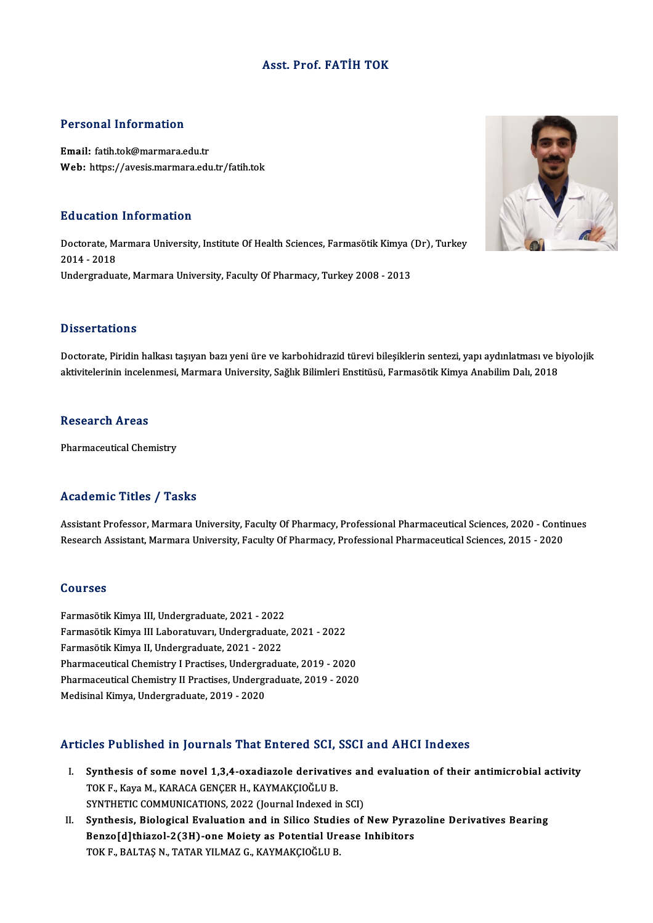## Asst. Prof. FATİH TOK

#### Personal Information

Email: fatih.tok@marmara.edu.tr Web: https://avesis.marmara.edu.tr/fatih.tok

#### Education Information

**Education Information**<br>Doctorate, Marmara University, Institute Of Health Sciences, Farmasötik Kimya (Dr), Turkey<br>2014 - 2018 2014 decembri<br>2014 - 2018<br>Undergradue Doctorate, Marmara University, Institute Of Health Sciences, Farmasötik Kimya (<br>2014 - 2018<br>Undergraduate, Marmara University, Faculty Of Pharmacy, Turkey 2008 - 2013 Undergraduate, Marmara University, Faculty Of Pharmacy, Turkey 2008 - 2013<br>Dissertations

Doctorate, Piridin halkası taşıyan bazı yeni üre ve karbohidrazid türevi bileşiklerin sentezi, yapı aydınlatması ve biyolojik aktivitelerinin incelenmesi, Marmara University, Sağlık Bilimleri Enstitüsü, Farmasötik Kimya Anabilim Dalı, 2018

#### **Research Areas**

Pharmaceutical Chemistry

## Academic Titles / Tasks

Academic Titles / Tasks<br>Assistant Professor, Marmara University, Faculty Of Pharmacy, Professional Pharmaceutical Sciences, 2020 - Continues<br>Research Assistant Marmara University, Faculty Of Pharmacy, Professional Pharmace recutremse Treses <sub>/</sub> Tubile<br>Assistant Professor, Marmara University, Faculty Of Pharmacy, Professional Pharmaceutical Sciences, 2020 - Conti<br>Research Assistant, Marmara University, Faculty Of Pharmacy, Professional Pharma Research Assistant, Marmara University, Faculty Of Pharmacy, Professional Pharmaceutical Sciences, 2015 - 2020<br>Courses

**Courses<br>Farmasötik Kimya III, Undergraduate, 2021 - 2022<br>Farmasötik Kimya III I abaratuyan, Undergraduate** SSATBES<br>Farmasötik Kimya III, Undergraduate, 2021 - 2022<br>Farmasötik Kimya III Laboratuvarı, Undergraduate, 2021 - 2022<br>Farmasötik Kimya II Undergraduata, 2021 - 2022 Farmasötik Kimya III, Undergraduate, 2021 - 2022<br>Farmasötik Kimya III Laboratuvarı, Undergraduate<br>Farmasötik Kimya II, Undergraduate, 2021 - 2022<br>Pharmasoutisal Chemistry I Prastises, Undergradu Farmasötik Kimya III Laboratuvarı, Undergraduate, 2021 - 2022<br>Farmasötik Kimya II, Undergraduate, 2021 - 2022<br>Pharmaceutical Chemistry II Practises, Undergraduate, 2019 - 2020<br>Pharmaceutical Chemistry II Practises, Undergr Farmasötik Kimya II, Undergraduate, 2021 - 2022<br>Pharmaceutical Chemistry I Practises, Undergraduate, 2019 - 2020<br>Pharmaceutical Chemistry II Practises, Undergraduate, 2019 - 2020<br>Medisinal Kimya, Undergraduate, 2019 - 2020 Pharmaceutical Chemistry I Practises, Undergraduate, 2019 - 2020

## Articles Published in Journals That Entered SCI, SSCI and AHCI Indexes

- rticles Published in Journals That Entered SCI, SSCI and AHCI Indexes<br>I. Synthesis of some novel 1,3,4-oxadiazole derivatives and evaluation of their antimicrobial activity<br>TOKE Kaya M. KARACA CENCER H. KAYMAKCIOČLU P. TOKF. TURNISTAN THE THEFT OF SERVICES THE TRISPERT SUPPORT SUPPORT THE TRISPERT OF THE TRISPERT OF THE TRISPERT COMMUNICATIONS 2022 (Journal Indoved in Synthesis of some novel 1,3,4-oxadiazole derivatives an<br>TOK F., Kaya M., KARACA GENÇER H., KAYMAKÇIOĞLU B.<br>SYNTHETIC COMMUNICATIONS, 2022 (Journal Indexed in SCI)<br>Synthesis, Biologiaal Eyalyation and in Siliae Studies of TOK F., Kaya M., KARACA GENÇER H., KAYMAKÇIOĞLU B.<br>SYNTHETIC COMMUNICATIONS, 2022 (Journal Indexed in SCI)<br>II. Synthesis, Biological Evaluation and in Silico Studies of New Pyrazoline Derivatives Bearing<br>Penne[dlthione] 2(
- SYNTHETIC COMMUNICATIONS, 2022 (Journal Indexed in SCI)<br>Synthesis, Biological Evaluation and in Silico Studies of New Pyra:<br>Benzo[d]thiazol-2(3H)-one Moiety as Potential Urease Inhibitors<br>TOKE BALTASN TATAR VUMAZ G KAYMAKC Synthesis, Biological Evaluation and in Silico Studi<br>Benzo[d]thiazol-2(3H)-one Moiety as Potential Uro<br>TOK F., BALTAŞ N., TATAR YILMAZ G., KAYMAKÇIOĞLU B.

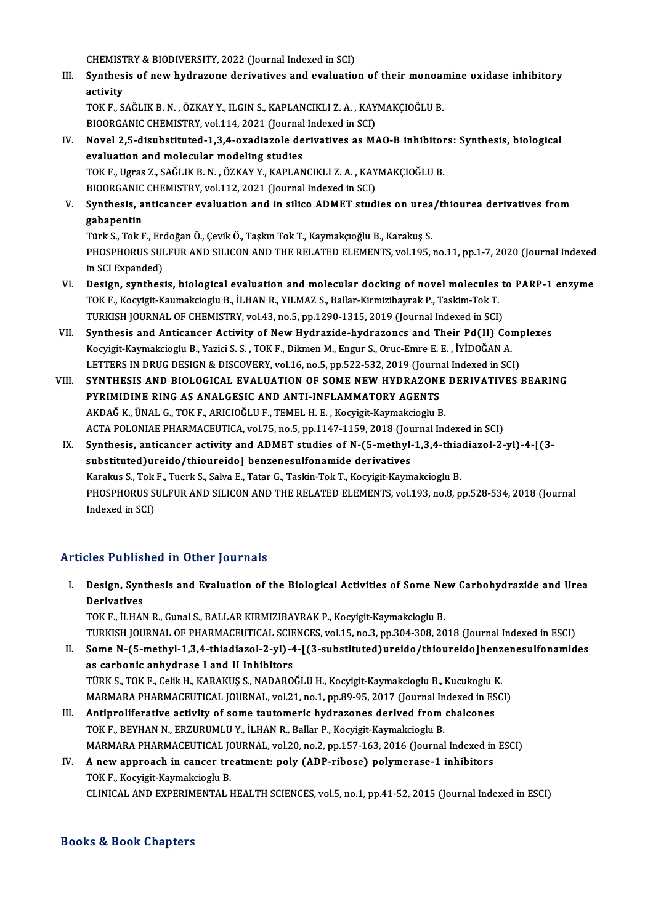CHEMISTRY & BIODIVERSITY, 2022 (Journal Indexed in SCI)<br>Synthesis of now bydragone derivatives and evaluatio

III. Synthesis of new hydrazone derivatives and evaluation of their monoamine oxidase inhibitory<br>activity CHEMIST<br>Synthes<br>activity<br>TOK E S Synthesis of new hydrazone derivatives and evaluation of their monoar<br>activity<br>TOK F., SAĞLIK B.N. , ÖZKAY Y., ILGIN S., KAPLANCIKLI Z.A. , KAYMAKÇIOĞLU B.<br>BIOOPCANIC CHEMISTRY, val.114, 2021 (Jaurnal Indaved in SC)

activity<br>TOK F., SAĞLIK B. N. , ÖZKAY Y., ILGIN S., KAPLANCIKLI Z. A. , KAY<br>BIOORGANIC CHEMISTRY, vol.114, 2021 (Journal Indexed in SCI)<br>Novel 2 5. disubstituted 1 3.4. ovediarele derivatives as M4

TOK F., SAĞLIK B. N. , ÖZKAY Y., ILGIN S., KAPLANCIKLI Z. A. , KAYMAKÇIOĞLU B.<br>BIOORGANIC CHEMISTRY, vol.114, 2021 (Journal Indexed in SCI)<br>IV. Novel 2,5-disubstituted-1,3,4-oxadiazole derivatives as MAO-B inhibitors: Synt BIOORGANIC CHEMISTRY, vol.114, 2021 (Journal Indexed in SCI)<br>Novel 2,5-disubstituted-1,3,4-oxadiazole derivatives as MAO-B inhibitor<br>evaluation and molecular modeling studies<br>TOK F., Ugras Z., SAĞLIK B. N. , ÖZKAY Y., KAPL Novel 2,5-disubstituted-1,3,4-oxadiazole derivatives as MAO-B inhibitor<br>evaluation and molecular modeling studies<br>TOK F., Ugras Z., SAĞLIK B. N. , ÖZKAY Y., KAPLANCIKLI Z. A. , KAYMAKÇIOĞLU B.<br>PIOOPCANIC CHEMISTRY vol.112,

BIOORGANIC CHEMISTRY, vol.112, 2021 (Journal Indexed in SCI)

TOK F., Ugras Z., SAĞLIK B. N. , ÖZKAY Y., KAPLANCIKLI Z. A. , KAYMAKÇIOĞLU B.<br>BIOORGANIC CHEMISTRY, vol.112, 2021 (Journal Indexed in SCI)<br>V. Synthesis, anticancer evaluation and in silico ADMET studies on urea/thiour **BIOORGANIC<br>Synthesis, a<br>gabapentin<br>Türk S. Tok E** Synthesis, anticancer evaluation and in silico ADMET studies on urea<br>gabapentin<br>Türk S., Tok F., Erdoğan Ö., Çevik Ö., Taşkın Tok T., Kaymakçıoğlu B., Karakuş S.<br>puospuopus sul EUP AND SU ICON AND TUE PELATED ELEMENTS, vol

**gabapentin**<br>Türk S., Tok F., Erdoğan Ö., Çevik Ö., Taşkın Tok T., Kaymakçıoğlu B., Karakuş S.<br>PHOSPHORUS SULFUR AND SILICON AND THE RELATED ELEMENTS, vol.195, no.11, pp.1-7, 2020 (Journal Indexed in SCI Expanded) PHOSPHORUS SULFUR AND SILICON AND THE RELATED ELEMENTS, vol.195, no.11, pp.1-7, 2020 (Journal Indexed<br>in SCI Expanded)<br>VI. Design, synthesis, biological evaluation and molecular docking of novel molecules to PARP-1 enzyme<br>

- in SCI Expanded)<br>Design, synthesis, biological evaluation and molecular docking of novel molecules<br>TOK F., Kocyigit-Kaumakcioglu B., İLHAN R., YILMAZ S., Ballar-Kirmizibayrak P., Taskim-Tok T.<br>TURKISH JOURNAL OF CHEMISTRY Design, synthesis, biological evaluation and molecular docking of novel molecules t<br>TOK F., Kocyigit-Kaumakcioglu B., İLHAN R., YILMAZ S., Ballar-Kirmizibayrak P., Taskim-Tok T.<br>TURKISH JOURNAL OF CHEMISTRY, vol.43, no.5, TOK F., Kocyigit-Kaumakcioglu B., İLHAN R., YILMAZ S., Ballar-Kirmizibayrak P., Taskim-Tok T.<br>TURKISH JOURNAL OF CHEMISTRY, vol.43, no.5, pp.1290-1315, 2019 (Journal Indexed in SCI)<br>VII. Synthesis and Anticancer Activity o
- TURKISH JOURNAL OF CHEMISTRY, vol.43, no.5, pp.1290-1315, 2019 (Journal Indexed in SCI)<br>Synthesis and Anticancer Activity of New Hydrazide-hydrazoncs and Their Pd(II) Cor<br>Kocyigit-Kaymakcioglu B., Yazici S. S. , TOK F., Di Kocyigit-Kaymakcioglu B., Yazici S. S. , TOK F., Dikmen M., Engur S., Oruc-Emre E. E. , İYİDOĞAN A.<br>LETTERS IN DRUG DESIGN & DISCOVERY, vol.16, no.5, pp.522-532, 2019 (Journal Indexed in SCI)
- VIII. SYNTHESIS AND BIOLOGICAL EVALUATION OF SOME NEW HYDRAZONE DERIVATIVES BEARING LETTERS IN DRUG DESIGN & DISCOVERY, vol.16, no.5, pp.522-532, 2019 (Journal)<br>SYNTHESIS AND BIOLOGICAL EVALUATION OF SOME NEW HYDRAZONE<br>PYRIMIDINE RING AS ANALGESIC AND ANTI-INFLAMMATORY AGENTS SYNTHESIS AND BIOLOGICAL EVALUATION OF SOME NEW HYDRAZONE<br>PYRIMIDINE RING AS ANALGESIC AND ANTI-INFLAMMATORY AGENTS<br>AKDAĞ K., ÜNAL G., TOK F., ARICIOĞLU F., TEMEL H. E. , Kocyigit-Kaymakcioglu B.<br>ACTA POLONIAE PHAPMACEUTIC PYRIMIDINE RING AS ANALGESIC AND ANTI-INFLAMMATORY AGENTS<br>AKDAĞ K., ÜNAL G., TOK F., ARICIOĞLU F., TEMEL H. E. , Kocyigit-Kaymakcioglu B.<br>ACTA POLONIAE PHARMACEUTICA, vol.75, no.5, pp.1147-1159, 2018 (Journal Indexed in SC AKDAĞ K., ÜNAL G., TOK F., ARICIOĞLU F., TEMEL H. E. , Kocyigit-Kaymakcioglu B.<br>ACTA POLONIAE PHARMACEUTICA, vol.75, no.5, pp.1147-1159, 2018 (Journal Indexed in SCI)<br>IX. Synthesis, anticancer activity and ADMET studies of
	- ACTA POLONIAE PHARMACEUTICA, vol.75, no.5, pp.1147-1159, 2018 (Journ Synthesis, anticancer activity and ADMET studies of N-(5-methyl-<br>substituted)ureido/thioureido] benzenesulfonamide derivatives<br>Karalus S. Tok E. Tugrk S. Synthesis, anticancer activity and ADMET studies of N-(5-methyl-1,3,4-thia<br>substituted)ureido/thioureido] benzenesulfonamide derivatives<br>Karakus S., Tok F., Tuerk S., Salva E., Tatar G., Taskin-Tok T., Kocyigit-Kaymakciogl substituted)ureido/thioureido] benzenesulfonamide derivatives<br>Karakus S., Tok F., Tuerk S., Salva E., Tatar G., Taskin-Tok T., Kocyigit-Kaymakcioglu B.<br>PHOSPHORUS SULFUR AND SILICON AND THE RELATED ELEMENTS, vol.193, no.8, Karakus S., Tok F., Tuerk S., Salva E., Tatar G., Taskin-Tok T., Kocyigit-Kaymakcioglu B.

## Articles Published in Other Journals

rticles Published in Other Journals<br>I. Design, Synthesis and Evaluation of the Biological Activities of Some New Carbohydrazide and Urea<br>Regivetives Design, Synt<br>Design, Synt<br>Derivatives<br>TOV E . II HAN Design, Synthesis and Evaluation of the Biological Activities of Some Ne<br>Derivatives<br>TOK F., İLHAN R., Gunal S., BALLAR KIRMIZIBAYRAK P., Kocyigit-Kaymakcioglu B.<br>TURKISH JOURNAL OF RHARMACEUTICAL SCIENCES vol.15, no.2, np Derivatives<br>TOK F., İLHAN R., Gunal S., BALLAR KIRMIZIBAYRAK P., Kocyigit-Kaymakcioglu B.<br>TURKISH JOURNAL OF PHARMACEUTICAL SCIENCES, vol.15, no.3, pp.304-308, 2018 (Journal Indexed in ESCI)

- II. Some N-(5-methyl-1,3,4-thiadiazol-2-yl)-4-[(3-substituted)ureido/thioureido]benzenesulfonamides as carbonic anhydrase I and II Inhibitors Some N-(5-methyl-1,3,4-thiadiazol-2-yl)-4-[(3-substituted)ureido/thioureido]benz<br>as carbonic anhydrase I and II Inhibitors<br>TÜRK S., TOK F., Celik H., KARAKUŞ S., NADAROĞLU H., Kocyigit-Kaymakcioglu B., Kucukoglu K.<br>MARMARA as carbonic anhydrase I and II Inhibitors<br>TÜRK S., TOK F., Celik H., KARAKUŞ S., NADAROĞLU H., Kocyigit-Kaymakcioglu B., Kucukoglu K.<br>MARMARA PHARMACEUTICAL JOURNAL, vol.21, no.1, pp.89-95, 2017 (Journal Indexed in ESCI)<br>A TÜRK S., TOK F., Celik H., KARAKUŞ S., NADAROĞLU H., Kocyigit-Kaymakcioglu B., Kucukoglu I.<br>MARMARA PHARMACEUTICAL JOURNAL, vol.21, no.1, pp.89-95, 2017 (Journal Indexed in ES<br>III. Antiproliferative activity of some tautom
- MARMARA PHARMACEUTICAL JOURNAL, vol.21, no.1, pp.89-95, 2017 (Journal Indexed in ESCI)<br>III. Antiproliferative activity of some tautomeric hydrazones derived from chalcones<br>TOK F., BEYHAN N., ERZURUMLU Y., İLHAN R., Ballar Antiproliferative activity of some tautomeric hydrazones derived from chalcones<br>TOK F., BEYHAN N., ERZURUMLU Y., İLHAN R., Ballar P., Kocyigit-Kaymakcioglu B.<br>MARMARA PHARMACEUTICAL JOURNAL, vol.20, no.2, pp.157-163, 2016
- IV. A new approach in cancer treatment: poly (ADP-ribose) polymerase-1 inhibitors TOK F., Kocyigit-Kaymakcioglu B. MARMARA PHARMACEUTICAL JONARMARA PHARMACEUTICAL JONARY THE TOKEN AND EXPERIMENTAL LAND EXPERIMENTAL L CLINICAL AND EXPERIMENTAL HEALTH SCIENCES, vol.5, no.1, pp.41-52, 2015 (Journal Indexed in ESCI)

## Books&Book Chapters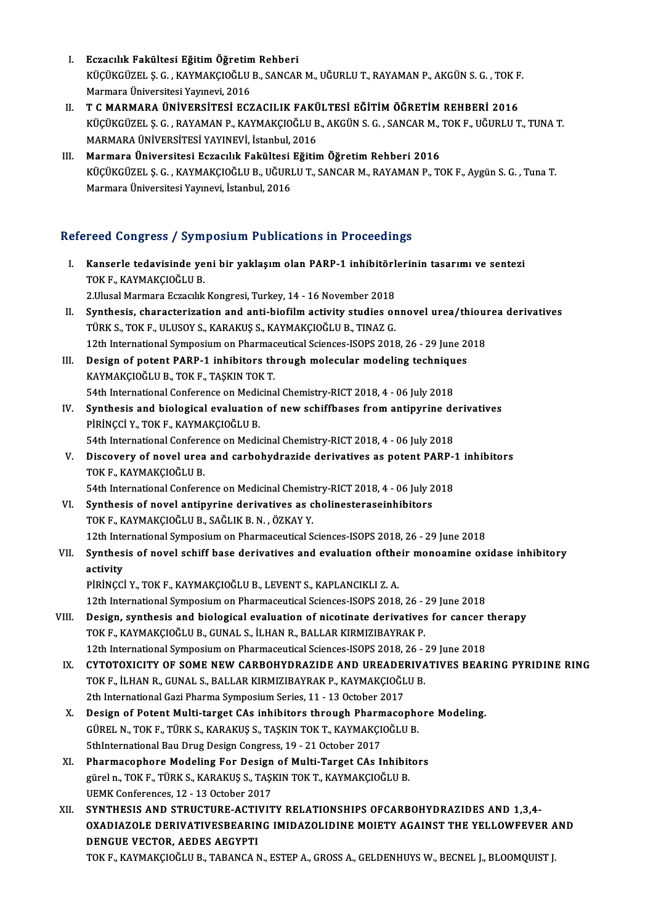- I. Bezacılık Fakültesi Eğitim Öğretim Rehberi<br>Vücüye'üzel S.G. KAYMAKCIQĞLU B.SANGAR KÜÇÜKGÜZEL Ş. G. , KAYMAKÇIOĞLU B., SANCAR M., UĞURLU T., RAYAMAN P., AKGÜN S. G. , TOK F.<br>Marmara Üniversitesi Yayınevi, 2016 Eczacılık Fakültesi Eğitim Öğretin<br>KÜÇÜKGÜZEL Ş. G. , KAYMAKÇIOĞLU<br>Marmara Üniversitesi Yayınevi, 2016<br>T. C. MARMARA ÜNİVERSİTESİ ECZ
- II. T C MARMARA ÜNİVERSİTESİ ECZACILIK FAKÜLTESİ EĞİTİM ÖĞRETİM REHBERİ 2016 Marmara Üniversitesi Yayınevi, 2016<br>T C MARMARA ÜNİVERSİTESİ ECZACILIK FAKÜLTESİ EĞİTİM ÖĞRETİM REHBERİ 2016<br>KÜÇÜKGÜZEL Ş. G. , RAYAMAN P., KAYMAKÇIOĞLU B., AKGÜN S. G. , SANCAR M., TOK F., UĞURLU T., TUNA T.<br>MARMARA ÜNİVE T C MARMARA ÜNİVERSİTESİ ECZACILIK FAKÜ<br>KÜÇÜKGÜZEL Ş. G. , RAYAMAN P., KAYMAKÇIOĞLU B<br>MARMARA ÜNİVERSİTESİ YAYINEVİ, İstanbul, 2016<br>Marmara Üniversitesi Eszasılık Fakültesi Eğitir KÜÇÜKGÜZEL Ş. G. , RAYAMAN P., KAYMAKÇIOĞLU B., AKGÜN S. G. , SANCAR M.,<br>MARMARA ÜNIVERSITESI YAYINEVİ, İstanbul, 2016<br>III. Marmara Üniversitesi Eczacılık Fakültesi Eğitim Öğretim Rehberi 2016<br>KÜÇÜKÇÜZEL S. G. KAYMAKÇIOĞLU
- MARMARA ÜNİVERSİTESİ YAYINEVİ, İstanbul, 2016<br>Marmara Üniversitesi Eczacılık Fakültesi Eğitim Öğretim Rehberi 2016<br>KÜÇÜKGÜZEL Ş. G. , KAYMAKÇIOĞLU B., UĞURLU T., SANCAR M., RAYAMAN P., TOK F., Aygün S. G. , Tuna T.<br>Marmara Marmara Üniversitesi Eczacılık Fakültesi<br>KÜÇÜKGÜZEL Ş. G. , KAYMAKÇIOĞLU B., UĞURI<br>Marmara Üniversitesi Yayınevi, İstanbul, 2016

# Marmara Üniversitesi Yayınevi, İstanbul, 2016<br>Refereed Congress / Symposium Publications in Proceedings

efereed Congress / Symposium Publications in Proceedings<br>I. Kanserle tedavisinde yeni bir yaklaşım olan PARP-1 inhibitörlerinin tasarımı ve sentezi<br>TOKE KAYMAKÇIQĞLU P TOCU GÖLETCES 7 CJ III<br>Kanserle tedavisinde ye<br>TOK F., KAYMAKÇIOĞLU B. Kanserle tedavisinde yeni bir yaklaşım olan PARP-1 inhibitörl<br>TOK F., KAYMAKÇIOĞLU B.<br>2.Ulusal Marmara Eczacılık Kongresi, Turkey, 14 - 16 November 2018<br>Synthesis, sharastariyation and anti-biofilm astivity studies ar TOK F., KAYMAKÇIOĞLU B.<br>2.Ulusal Marmara Eczacılık Kongresi, Turkey, 14 - 16 November 2018<br>II. Synthesis, characterization and anti-biofilm activity studies onnovel urea/thiourea derivatives<br>TÜRK S. TOK E. HI USOV S. KARAK 2.Ulusal Marmara Eczacılık Kongresi, Turkey, 14 - 16 November 2018<br>Synthesis, characterization and anti-biofilm activity studies onnovel urea/thiou<br>TÜRK S., TOK F., ULUSOY S., KARAKUŞ S., KAYMAKÇIOĞLU B., TINAZ G.<br>12th Int Synthesis, characterization and anti-biofilm activity studies onnovel urea/thiou!<br>TÜRK S., TOK F., ULUSOY S., KARAKUŞ S., KAYMAKÇIOĞLU B., TINAZ G.<br>12th International Symposium on Pharmaceutical Sciences-ISOPS 2018, 26 - 2 TÜRK S., TOK F., ULUSOY S., KARAKUŞ S., KAYMAKÇIOĞLU B., TINAZ G.<br>12th International Symposium on Pharmaceutical Sciences-ISOPS 2018, 26 - 29 June 20<br>III. Design of potent PARP-1 inhibitors through molecular modeling techn 12th International Symposium on Pharmac<br>Design of potent PARP-1 inhibitors th<br>KAYMAKÇIOĞLU B., TOK F., TAŞKIN TOK T.<br>54th International Conference on Modisine Design of potent PARP-1 inhibitors through molecular modeling techniqu<br>KAYMAKÇIOĞLU B., TOK F., TAŞKIN TOK T.<br>54th International Conference on Medicinal Chemistry-RICT 2018, 4 - 06 July 2018<br>Synthesis and biologisel evalua

- KAYMAKÇIOĞLU B., TOK F., TAŞKIN TOK T.<br>54th International Conference on Medicinal Chemistry-RICT 2018, 4 06 July 2018<br>IV. Synthesis and biological evaluation of new schiffbases from antipyrine derivatives<br>pipincci y TOK 54th International Conference on Medio<br>Synthesis and biological evaluation<br>PİRİNÇCİ Y., TOK F., KAYMAKÇIOĞLU B.<br>54th International Conference on Medio PİRİNÇCİ Y., TOK F., KAYMAKÇIOĞLU B.<br>54th International Conference on Medicinal Chemistry-RICT 2018, 4 - 06 July 2018
- PIRINÇCI Y., TOK F., KAYMAKÇIOĞLU B.<br>54th International Conference on Medicinal Chemistry-RICT 2018, 4 06 July 2018<br>V. Discovery of novel urea and carbohydrazide derivatives as potent PARP-1 inhibitors<br>TOK E. KAYMAKC 54th International Confere<br>Discovery of novel urea<br>TOK F., KAYMAKÇIOĞLU B.<br>54th International Confere Discovery of novel urea and carbohydrazide derivatives as potent PARP-1<br>TOK F., KAYMAKÇIOĞLU B.<br>54th International Conference on Medicinal Chemistry-RICT 2018, 4 - 06 July 2018<br>Synthesis of novel antinuning derivatives as TOK F., KAYMAKÇIOĞLU B.<br>54th International Conference on Medicinal Chemistry-RICT 2018, 4 - 06 July 2018<br>VI. Synthesis of novel antipyrine derivatives as cholinesteraseinhibitors

TOKF.,KAYMAKÇIOĞLUB.,SAĞLIKB.N. ,ÖZKAYY. Synthesis of novel antipyrine derivatives as cholinesteraseinhibitors<br>12th International Symposium on Pharmaceutical Sciences-ISOPS 2018, 26 - 29 June 2018<br>Synthesis of novel sebiff hase derivatives and sygluation of their

## VII. Synthesis of novel schiff base derivatives and evaluation of their monoamine oxidase inhibitory activity 12th Inte<br>Synthes<br>activity<br>pipincci

PİRİNÇCİY.,TOKF.,KAYMAKÇIOĞLUB.,LEVENTS.,KAPLANCIKLIZ.A.

12th InternationalSymposiumonPharmaceuticalSciences-ISOPS2018,26 -29 June 2018

- PIRINÇCI Y., TOK F., KAYMAKÇIOĞLU B., LEVENT S., KAPLANCIKLI Z. A.<br>12th International Symposium on Pharmaceutical Sciences-ISOPS 2018, 26 29 June 2018<br>VIII. Design, synthesis and biological evaluation of nicotinate deriv 12th International Symposium on Pharmaceutical Sciences-ISOPS 2018, 26 - 2<br>Design, synthesis and biological evaluation of nicotinate derivatives<br>TOK F., KAYMAKÇIOĞLU B., GUNAL S., İLHAN R., BALLAR KIRMIZIBAYRAK P.<br>12th Int Design, synthesis and biological evaluation of nicotinate derivatives for cancer<br>12th International Symposium on Pharmaceutical Sciences-ISOPS 2018, 26 - 29 June 2018<br>2018 - CYTOTOVICITY OF SOME NEW CARROUVDRAZIDE AND UREA TOK F., KAYMAKÇIOĞLU B., GUNAL S., İLHAN R., BALLAR KIRMIZIBAYRAK P.<br>12th International Symposium on Pharmaceutical Sciences-ISOPS 2018, 26 - 29 June 2018<br>IX. CYTOTOXICITY OF SOME NEW CARBOHYDRAZIDE AND UREADERIVATIVES
- 12th International Symposium on Pharmaceutical Sciences-ISOPS 2018, 26 :<br>CYTOTOXICITY OF SOME NEW CARBOHYDRAZIDE AND UREADERIVA<br>TOK F., İLHAN R., GUNAL S., BALLAR KIRMIZIBAYRAK P., KAYMAKÇIOĞLU B.<br>2th International Carl CYTOTOXICITY OF SOME NEW CARBOHYDRAZIDE AND UREADE<br>TOK F., İLHAN R., GUNAL S., BALLAR KIRMIZIBAYRAK P., KAYMAKÇIOĞL<br>2th International Gazi Pharma Symposium Series, 11 - 13 October 2017<br>Design of Botant Multi target CAs inb TOK F., İLHAN R., GUNAL S., BALLAR KIRMIZIBAYRAK P., KAYMAKÇIOĞLU B.<br>2th International Gazi Pharma Symposium Series, 11 - 13 October 2017<br>X. Design of Potent Multi-target CAs inhibitors through Pharmacophore Modeling.<br>CÜPE
- 2th International Gazi Pharma Symposium Series, 11 13 October 2017<br>Design of Potent Multi-target CAs inhibitors through Pharmacopho<br>GÜREL N., TOK F., TÜRK S., KARAKUŞ S., TAŞKIN TOK T., KAYMAKÇIOĞLU B.<br>Ethinternational P Design of Potent Multi-target CAs inhibitors through Pharm<br>GÜREL N., TOK F., TÜRK S., KARAKUŞ S., TAŞKIN TOK T., KAYMAKÇI<br>5thInternational Bau Drug Design Congress, 19 - 21 October 2017<br>Pharmasanhara Madaling Far Dasign of GÜREL N., TOK F., TÜRK S., KARAKUŞ S., TAŞKIN TOK T., KAYMAKÇIOĞLU B.<br>5thInternational Bau Drug Design Congress, 19 - 21 October 2017<br>XI. Pharmacophore Modeling For Design of Multi-Target CAs Inhibitors
- 5thInternational Bau Drug Design Congress, 19 21 October 2017<br>Pharmacophore Modeling For Design of Multi-Target CAs Inhibit<br>gürel n., TOK F., TÜRK S., KARAKUŞ S., TAŞKIN TOK T., KAYMAKÇIOĞLU B.<br>UEMK Conferenses, 12 13 **Pharmacophore Modeling For Design<br>gürel n., TOK F., TÜRK S., KARAKUŞ S., TAŞI<br>UEMK Conferences, 12 - 13 October 2017<br>SYNTUESIS AND STBUCTUBE ACTIVIT**
- gürel n., TOK F., TÜRK S., KARAKUŞ S., TAŞKIN TOK T., KAYMAKÇIOĞLU B.<br>UEMK Conferences, 12 13 October 2017<br>XII. SYNTHESIS AND STRUCTURE-ACTIVITY RELATIONSHIPS OFCARBOHYDRAZIDES AND 1,3,4-<br>OYADIAZOLE DEPIVATIVESPEARING IM UEMK Conferences, 12 - 13 October 2017<br>SYNTHESIS AND STRUCTURE-ACTIVITY RELATIONSHIPS OFCARBOHYDRAZIDES AND 1,3,4-<br>OXADIAZOLE DERIVATIVESBEARING IMIDAZOLIDINE MOIETY AGAINST THE YELLOWFEVER AND<br>DENCUE VECTOR, AEDES AECYPTI SYNTHESIS AND STRUCTURE-ACTIV<br>OXADIAZOLE DERIVATIVESBEARIN<br>DENGUE VECTOR, AEDES AEGYPTI<br>TOK E KAYMAKCIOČIJI P. TABANCA N OXADIAZOLE DERIVATIVESBEARING IMIDAZOLIDINE MOIETY AGAINST THE YELLOWFEVER AND<br>DENGUE VECTOR, AEDES AEGYPTI<br>TOK F., KAYMAKÇIOĞLU B., TABANCA N., ESTEP A., GROSS A., GELDENHUYS W., BECNEL J., BLOOMQUIST J.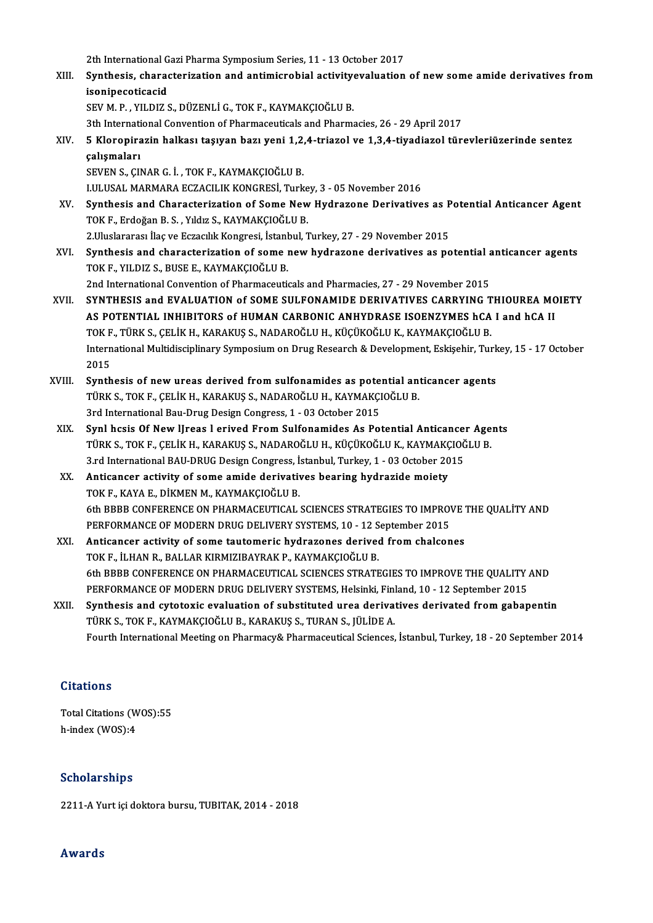2th International Gazi Pharma Symposium Series, 11 - 13 October 2017<br>Synthesia, characterization and entimierabial estivity synlustion

2th International Gazi Pharma Symposium Series, 11 - 13 October 2017<br>XIII. Synthesis, characterization and antimicrobial activityevaluation of new some amide derivatives from 2th International G<br>Synthesis, charae<br>isonipecoticacid<br>SEV M P - VILDIZ 9 Synthesis, characterization and antimicrobial activity<br>isonipecoticacid<br>SEV M. P. , YILDIZ S., DÜZENLİ G., TOK F., KAYMAKÇIOĞLU B.<br><sup>2th International Convention of Pharmaceuticals and Pharma</sup> isonipecoticacid<br>SEV M. P. , YILDIZ S., DÜZENLİ G., TOK F., KAYMAKÇIOĞLU B.<br>3th International Convention of Pharmaceuticals and Pharmacies, 26 - 29 April 2017<br>5. Kloropiragin halkası tasıyan bağı yeni 1-2.4 triagel ve 1-3.

SEV M. P. , YILDIZ S., DÜZENLİ G., TOK F., KAYMAKÇIOĞLU B.<br>3th International Convention of Pharmaceuticals and Pharmacies, 26 - 29 April 2017<br>XIV. 5 Kloropirazin halkası taşıyan bazı yeni 1,2,4-triazol ve 1,3,4-tiyadia 3th Internati<br>5 Kloropira<br>çalışmaları<br>seven s. cu 5 Kloropirazin halkası taşıyan bazı yeni 1,2,<br>çalışmaları<br>SEVEN S., ÇINAR G. İ. , TOK F., KAYMAKÇIOĞLU B.<br>LULUSAL MARMARA EGZACU IK KONCRESİ Turk çalışmaları<br>SEVEN S., ÇINAR G. İ. , TOK F., KAYMAKÇIOĞLU B.<br>I.ULUSAL MARMARA ECZACILIK KONGRESİ, Turkey, 3 - 05 November 2016

- SEVEN S., ÇINAR G. İ. , TOK F., KAYMAKÇIOĞLU B.<br>I.ULUSAL MARMARA ECZACILIK KONGRESİ, Turkey, 3 05 November 2016<br>XV. Synthesis and Characterization of Some New Hydrazone Derivatives as Potential Anticancer Agent<br>TOKE, LULUSAL MARMARA ECZACILIK KONGRESİ, Turke<br>Synthesis and Characterization of Some New<br>TOK F., Erdoğan B. S. , Yıldız S., KAYMAKÇIOĞLU B.<br>2 Huslanares: İlas ve Estasılık Konsussi, İstanbul 7 Synthesis and Characterization of Some New Hydrazone Derivatives as P<br>TOK F., Erdoğan B. S. , Yıldız S., KAYMAKÇIOĞLU B.<br>2.Uluslararası İlaç ve Eczacılık Kongresi, İstanbul, Turkey, 27 - 29 November 2015<br>Synthesis and char TOK F., Erdoğan B. S. , Yıldız S., KAYMAKÇIOĞLU B.<br>2.Uluslararası İlaç ve Eczacılık Kongresi, İstanbul, Turkey, 27 - 29 November 2015<br>XVI. Synthesis and characterization of some new hydrazone derivatives as potential antic
- 2.Uluslararası İlaç ve Eczacılık Kongresi, İstanl<br>Synthesis and characterization of some i<br>TOK F., YILDIZ S., BUSE E., KAYMAKÇIOĞLU B.<br>2nd International Convention of Pharmaceuti Synthesis and characterization of some new hydrazone derivatives as potential a<br>TOK F., YILDIZ S., BUSE E., KAYMAKÇIOĞLU B.<br>2nd International Convention of Pharmaceuticals and Pharmacies, 27 - 29 November 2015<br>SYNTUESIS an

- TOK F., YILDIZ S., BUSE E., KAYMAKÇIOĞLU B.<br>2nd International Convention of Pharmaceuticals and Pharmacies, 27 29 November 2015<br>XVII. SYNTHESIS and EVALUATION of SOME SULFONAMIDE DERIVATIVES CARRYING THIOUREA MOIETY 2nd International Convention of Pharmaceuticals and Pharmacies, 27 - 29 November 2015<br>SYNTHESIS and EVALUATION of SOME SULFONAMIDE DERIVATIVES CARRYING THIOUREA MC<br>AS POTENTIAL INHIBITORS of HUMAN CARBONIC ANHYDRASE ISOENZ SYNTHESIS and EVALUATION of SOME SULFONAMIDE DERIVATIVES CARRYING T<br>AS POTENTIAL INHIBITORS of HUMAN CARBONIC ANHYDRASE ISOENZYMES hCA<br>TOK F., TÜRK S., ÇELİK H., KARAKUŞ S., NADAROĞLU H., KÜÇÜKOĞLU K., KAYMAKÇIOĞLU B.<br>Inte AS POTENTIAL INHIBITORS of HUMAN CARBONIC ANHYDRASE ISOENZYMES hCA I and hCA II<br>TOK F., TÜRK S., ÇELİK H., KARAKUŞ S., NADAROĞLU H., KÜÇÜKOĞLU K., KAYMAKÇIOĞLU B.<br>International Multidisciplinary Symposium on Drug Research TOK F<br>Intern<br>2015<br>Synth International Multidisciplinary Symposium on Drug Research & Development, Eskişehir, Turk<br>2015<br>XVIII. Synthesis of new ureas derived from sulfonamides as potential anticancer agents<br>TUPES TORE CELIER RABARIIS S NADAROČLILH
- 2015<br>Synthesis of new ureas derived from sulfonamides as potential anticancer agents<br>TÜRK S., TOK F., ÇELİK H., KARAKUŞ S., NADAROĞLU H., KAYMAKÇIOĞLU B. 3rd International Bau-Drug Design Congress, 1 - 03 October 2015 TÜRK S., TOK F., ÇELİK H., KARAKUŞ S., NADAROĞLU H., KAYMAKÇIOĞLU B.<br>3rd International Bau-Drug Design Congress, 1 - 03 October 2015<br>XIX. Synl hcsis Of New IJreas l erived From Sulfonamides As Potential Anticancer Agents<br>T
- 3rd International Bau-Drug Design Congress, 1 03 October 2015<br>Synl hcsis Of New IJreas 1 erived From Sulfonamides As Potential Anticancer Age<br>TÜRK S., TOK F., ÇELİK H., KARAKUŞ S., NADAROĞLU H., KÜÇÜKOĞLU K., KAYMAKÇIOĞL Synl hcsis Of New IJreas 1 erived From Sulfonamides As Potential Anticance:<br>TÜRK S., TOK F., ÇELİK H., KARAKUŞ S., NADAROĞLU H., KÜÇÜKOĞLU K., KAYMAKÇIOĞ<br>3.rd International BAU-DRUG Design Congress, İstanbul, Turkey, 1 - 0 TÜRK S., TOK F., ÇELİK H., KARAKUŞ S., NADAROĞLU H., KÜÇÜKOĞLU K., KAYMAKÇ<br>3.rd International BAU-DRUG Design Congress, İstanbul, Turkey, 1 - 03 October 20<br>XX. Anticancer activity of some amide derivatives bearing hydrazid
- 3.rd International BAU-DRUG Design Congress, İ.<br>**Anticancer activity of some amide derivativ**<br>TOK F., KAYA E., DİKMEN M., KAYMAKÇIOĞLU B.<br>6th PPPP CONEEPENCE ON PHAPMACEUTICAL Anticancer activity of some amide derivatives bearing hydrazide moiety<br>TOK F., KAYA E., DİKMEN M., KAYMAKÇIOĞLU B.<br>6th BBBB CONFERENCE ON PHARMACEUTICAL SCIENCES STRATEGIES TO IMPROVE THE QUALİTY AND<br>REREORMANCE OE MORERN TOK F., KAYA E., DİKMEN M., KAYMAKÇIOĞLU B.<br>6th BBBB CONFERENCE ON PHARMACEUTICAL SCIENCES STRATEGIES TO IMPROV<br>PERFORMANCE OF MODERN DRUG DELIVERY SYSTEMS, 10 - 12 September 2015<br>Antisanson astivity of some tautomonis hyd 6th BBBB CONFERENCE ON PHARMACEUTICAL SCIENCES STRATEGIES TO IMPROVE<br>PERFORMANCE OF MODERN DRUG DELIVERY SYSTEMS, 10 - 12 September 2015<br>XXI. Anticancer activity of some tautomeric hydrazones derived from chalcones<br>TOVE HU
- PERFORMANCE OF MODERN DRUG DELIVERY SYSTEMS, 10 12 September 2015<br>Anticancer activity of some tautomeric hydrazones derived from chalcones<br>TOK F., İLHAN R., BALLAR KIRMIZIBAYRAK P., KAYMAKÇIOĞLU B. Anticancer activity of some tautomeric hydrazones derived from chalcones<br>TOK F., İLHAN R., BALLAR KIRMIZIBAYRAK P., KAYMAKÇIOĞLU B.<br>6th BBBB CONFERENCE ON PHARMACEUTICAL SCIENCES STRATEGIES TO IMPROVE THE QUALITY AND<br>REREO TOK F., İLHAN R., BALLAR KIRMIZIBAYRAK P., KAYMAKÇIOĞLU B.<br>6th BBBB CONFERENCE ON PHARMACEUTICAL SCIENCES STRATEGIES TO IMPROVE THE QUALITY .<br>PERFORMANCE OF MODERN DRUG DELIVERY SYSTEMS, Helsinki, Finland, 10 - 12 Septembe 6th BBBB CONFERENCE ON PHARMACEUTICAL SCIENCES STRATEGIES TO IMPROVE THE QUALITY AND<br>PERFORMANCE OF MODERN DRUG DELIVERY SYSTEMS, Helsinki, Finland, 10 - 12 September 2015<br>XXII. Synthesis and cytotoxic evaluation of substi
- PERFORMANCE OF MODERN DRUG DELIVERY SYSTEMS, Helsinki, Finl<br>Synthesis and cytotoxic evaluation of substituted urea deriva<br>TÜRK S., TOK F., KAYMAKÇIOĞLU B., KARAKUŞ S., TURAN S., JÜLİDE A.<br>Feurth International Mesting on Ph Synthesis and cytotoxic evaluation of substituted urea derivatives derivated from gabapentin<br>TÜRK S., TOK F., KAYMAKÇIOĞLU B., KARAKUŞ S., TURAN S., JÜLİDE A.<br>Fourth International Meeting on Pharmacy& Pharmaceutical Scienc Fourth International Meeting on Pharmacy& Pharmaceutical Sciences, İstanbul, Turkey, 18 - 20 September 2014<br>Citations

Citations<br>Total Citations (WOS):55<br>b index (WOS):4 h-index (WOS):4 h-index (WOS):4<br>Scholarships

2211-AYurt içidoktora bursu,TUBITAK,2014 -2018

## Awards